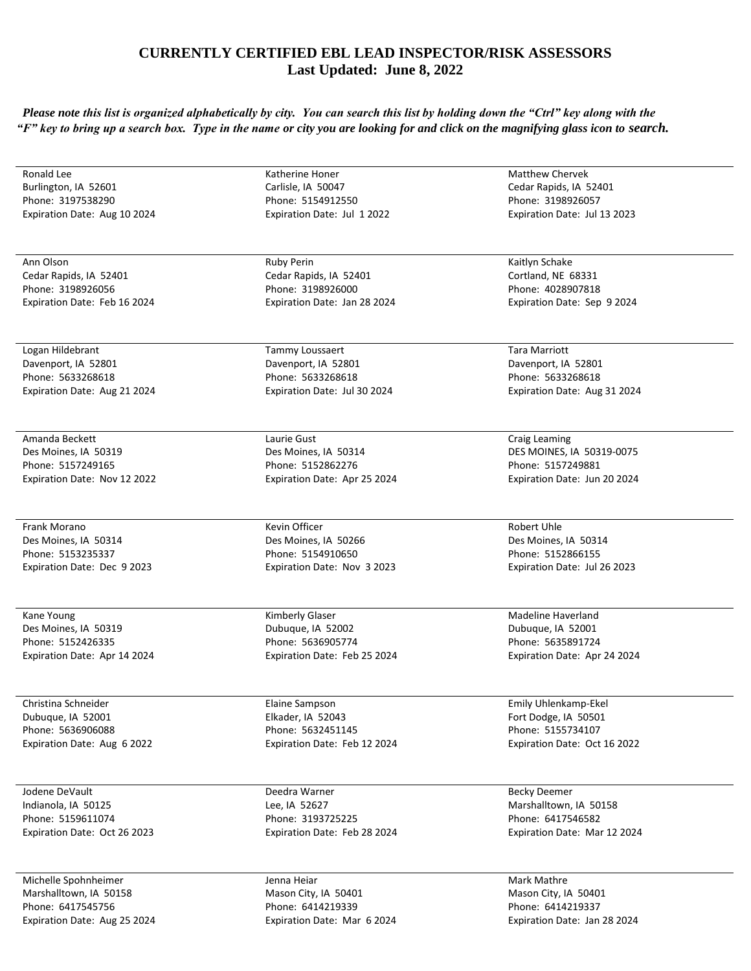## **CURRENTLY CERTIFIED EBL LEAD INSPECTOR/RISK ASSESSORS Last Updated: June 8, 2022**

*Please note this list is organized alphabetically by city. You can search this list by holding down the "Ctrl" key along with the "F" key to bring up a search box. Type in the name or city you are looking for and click on the magnifying glass icon to search.* 

| Ronald Lee                   | Katherine Honer              | <b>Matthew Chervek</b>       |
|------------------------------|------------------------------|------------------------------|
| Burlington, IA 52601         | Carlisle, IA 50047           | Cedar Rapids, IA 52401       |
| Phone: 3197538290            | Phone: 5154912550            | Phone: 3198926057            |
| Expiration Date: Aug 10 2024 | Expiration Date: Jul 1 2022  | Expiration Date: Jul 13 2023 |
|                              |                              |                              |
|                              |                              |                              |
|                              |                              |                              |
| Ann Olson                    | <b>Ruby Perin</b>            | Kaitlyn Schake               |
| Cedar Rapids, IA 52401       | Cedar Rapids, IA 52401       | Cortland, NE 68331           |
| Phone: 3198926056            | Phone: 3198926000            | Phone: 4028907818            |
| Expiration Date: Feb 16 2024 | Expiration Date: Jan 28 2024 | Expiration Date: Sep 9 2024  |
|                              |                              |                              |
|                              |                              |                              |
| Logan Hildebrant             | Tammy Loussaert              | Tara Marriott                |
| Davenport, IA 52801          | Davenport, IA 52801          | Davenport, IA 52801          |
| Phone: 5633268618            | Phone: 5633268618            | Phone: 5633268618            |
| Expiration Date: Aug 21 2024 | Expiration Date: Jul 30 2024 | Expiration Date: Aug 31 2024 |
|                              |                              |                              |
|                              |                              |                              |
| Amanda Beckett               | Laurie Gust                  | Craig Leaming                |
| Des Moines, IA 50319         | Des Moines, IA 50314         | DES MOINES, IA 50319-0075    |
| Phone: 5157249165            | Phone: 5152862276            | Phone: 5157249881            |
|                              |                              |                              |
| Expiration Date: Nov 12 2022 | Expiration Date: Apr 25 2024 | Expiration Date: Jun 20 2024 |
|                              |                              |                              |
|                              | Kevin Officer                |                              |
| Frank Morano                 |                              | Robert Uhle                  |
| Des Moines, IA 50314         | Des Moines, IA 50266         | Des Moines, IA 50314         |
| Phone: 5153235337            | Phone: 5154910650            | Phone: 5152866155            |
| Expiration Date: Dec 9 2023  | Expiration Date: Nov 3 2023  | Expiration Date: Jul 26 2023 |
|                              |                              |                              |
|                              |                              |                              |
| Kane Young                   | Kimberly Glaser              | Madeline Haverland           |
| Des Moines, IA 50319         | Dubuque, IA 52002            | Dubuque, IA 52001            |
| Phone: 5152426335            | Phone: 5636905774            | Phone: 5635891724            |
| Expiration Date: Apr 14 2024 | Expiration Date: Feb 25 2024 | Expiration Date: Apr 24 2024 |
|                              |                              |                              |
|                              |                              |                              |
| Christina Schneider          | Elaine Sampson               | Emily Uhlenkamp-Ekel         |
| Dubuque, IA 52001            | Elkader, IA 52043            | Fort Dodge, IA 50501         |
| Phone: 5636906088            | Phone: 5632451145            | Phone: 5155734107            |
| Expiration Date: Aug 6 2022  | Expiration Date: Feb 12 2024 | Expiration Date: Oct 16 2022 |
|                              |                              |                              |
|                              |                              |                              |
| Jodene DeVault               | Deedra Warner                | <b>Becky Deemer</b>          |
| Indianola, IA 50125          | Lee, IA 52627                | Marshalltown, IA 50158       |
| Phone: 5159611074            | Phone: 3193725225            | Phone: 6417546582            |
| Expiration Date: Oct 26 2023 | Expiration Date: Feb 28 2024 | Expiration Date: Mar 12 2024 |
|                              |                              |                              |
|                              |                              |                              |
| Michelle Spohnheimer         | Jenna Heiar                  | Mark Mathre                  |
| Marshalltown, IA 50158       | Mason City, IA 50401         | Mason City, IA 50401         |
| Phone: 6417545756            | Phone: 6414219339            | Phone: 6414219337            |

Phone: 6414219339 Expiration Date: Mar 6 2024

Expiration Date: Jan 28 2024

Expiration Date: Aug 25 2024